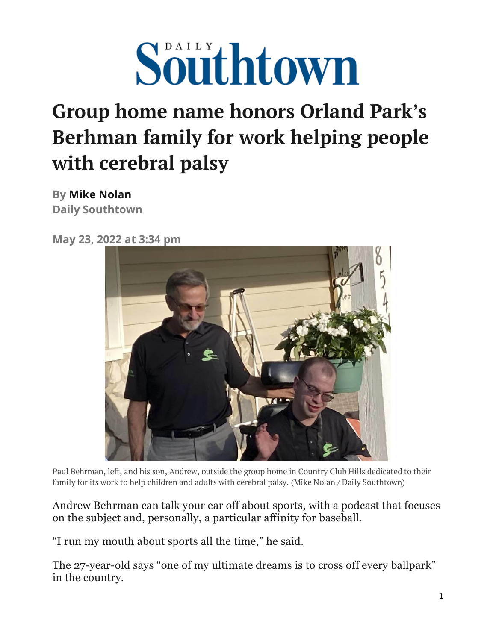

## **Group home name honors Orland Park's Berhman family for work helping people with cerebral palsy**

**By [Mike Nolan](https://www.chicagotribune.com/chi-mike-nolan-20150206-staff.html#nt=byline) Daily Southtown**

**May 23, 2022 at 3:34 pm**



Paul Behrman, left, and his son, Andrew, outside the group home in Country Club Hills dedicated to their family for its work to help children and adults with cerebral palsy. (Mike Nolan / Daily Southtown)

Andrew Behrman can talk your ear off about sports, with a podcast that focuses on the subject and, personally, a particular affinity for baseball.

"I run my mouth about sports all the time," he said.

The 27-year-old says "one of my ultimate dreams is to cross off every ballpark" in the country.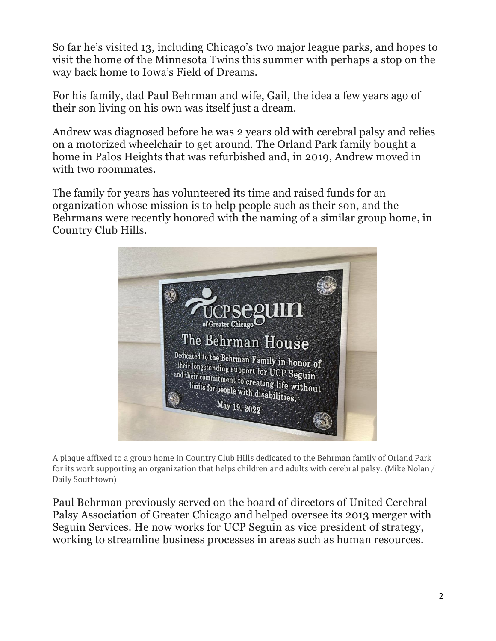So far he's visited 13, including Chicago's two major league parks, and hopes to visit the home of the Minnesota Twins this summer with perhaps a stop on the way back home to Iowa's Field of Dreams.

For his family, dad Paul Behrman and wife, Gail, the idea a few years ago of their son living on his own was itself just a dream.

Andrew was diagnosed before he was 2 years old with cerebral palsy and relies on a motorized wheelchair to get around. The Orland Park family bought a home in Palos Heights that was refurbished and, in 2019, Andrew moved in with two roommates.

The family for years has volunteered its time and raised funds for an organization whose mission is to help people such as their son, and the Behrmans were recently honored with the naming of a similar group home, in Country Club Hills.



A plaque affixed to a group home in Country Club Hills dedicated to the Behrman family of Orland Park for its work supporting an organization that helps children and adults with cerebral palsy. (Mike Nolan / Daily Southtown)

Paul Behrman previously served on the board of directors of United Cerebral Palsy Association of Greater Chicago and helped oversee its 2013 merger with Seguin Services. He now works for UCP Seguin as vice president of strategy, working to streamline business processes in areas such as human resources.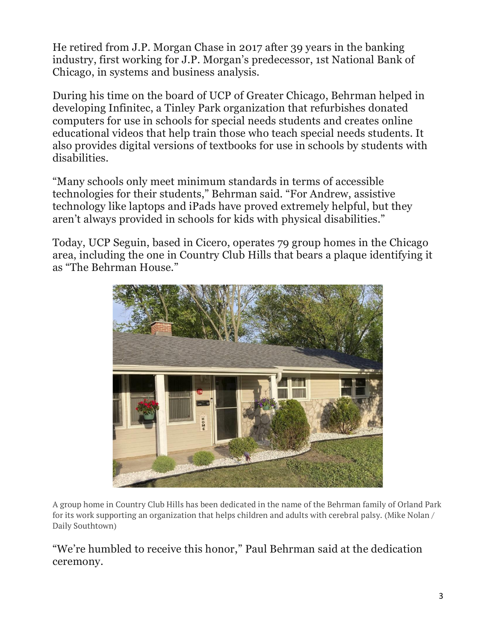He retired from J.P. Morgan Chase in 2017 after 39 years in the banking industry, first working for J.P. Morgan's predecessor, 1st National Bank of Chicago, in systems and business analysis.

During his time on the board of UCP of Greater Chicago, Behrman helped in developing Infinitec, a Tinley Park organization that refurbishes donated computers for use in schools for special needs students and creates online educational videos that help train those who teach special needs students. It also provides digital versions of textbooks for use in schools by students with disabilities.

"Many schools only meet minimum standards in terms of accessible technologies for their students," Behrman said. "For Andrew, assistive technology like laptops and iPads have proved extremely helpful, but they aren't always provided in schools for kids with physical disabilities."

Today, UCP Seguin, based in Cicero, operates 79 group homes in the Chicago area, including the one in Country Club Hills that bears a plaque identifying it as "The Behrman House."



A group home in Country Club Hills has been dedicated in the name of the Behrman family of Orland Park for its work supporting an organization that helps children and adults with cerebral palsy. (Mike Nolan / Daily Southtown)

"We're humbled to receive this honor," Paul Behrman said at the dedication ceremony.